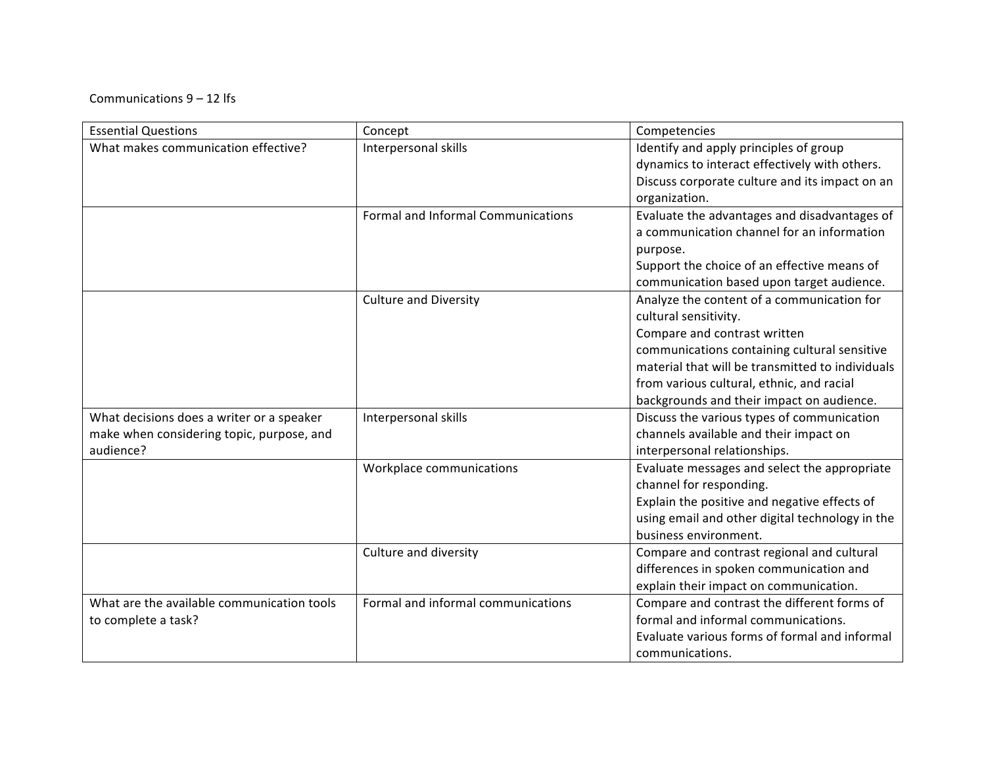## Communications  $9 - 12$  lfs

| <b>Essential Questions</b>                 | Concept                            | Competencies                                     |
|--------------------------------------------|------------------------------------|--------------------------------------------------|
| What makes communication effective?        | Interpersonal skills               | Identify and apply principles of group           |
|                                            |                                    | dynamics to interact effectively with others.    |
|                                            |                                    | Discuss corporate culture and its impact on an   |
|                                            |                                    | organization.                                    |
|                                            | Formal and Informal Communications | Evaluate the advantages and disadvantages of     |
|                                            |                                    | a communication channel for an information       |
|                                            |                                    | purpose.                                         |
|                                            |                                    | Support the choice of an effective means of      |
|                                            |                                    | communication based upon target audience.        |
|                                            | <b>Culture and Diversity</b>       | Analyze the content of a communication for       |
|                                            |                                    | cultural sensitivity.                            |
|                                            |                                    | Compare and contrast written                     |
|                                            |                                    | communications containing cultural sensitive     |
|                                            |                                    | material that will be transmitted to individuals |
|                                            |                                    | from various cultural, ethnic, and racial        |
|                                            |                                    | backgrounds and their impact on audience.        |
| What decisions does a writer or a speaker  | Interpersonal skills               | Discuss the various types of communication       |
| make when considering topic, purpose, and  |                                    | channels available and their impact on           |
| audience?                                  |                                    | interpersonal relationships.                     |
|                                            | Workplace communications           | Evaluate messages and select the appropriate     |
|                                            |                                    | channel for responding.                          |
|                                            |                                    | Explain the positive and negative effects of     |
|                                            |                                    | using email and other digital technology in the  |
|                                            |                                    | business environment.                            |
|                                            | Culture and diversity              | Compare and contrast regional and cultural       |
|                                            |                                    | differences in spoken communication and          |
|                                            |                                    | explain their impact on communication.           |
| What are the available communication tools | Formal and informal communications | Compare and contrast the different forms of      |
| to complete a task?                        |                                    | formal and informal communications.              |
|                                            |                                    | Evaluate various forms of formal and informal    |
|                                            |                                    | communications.                                  |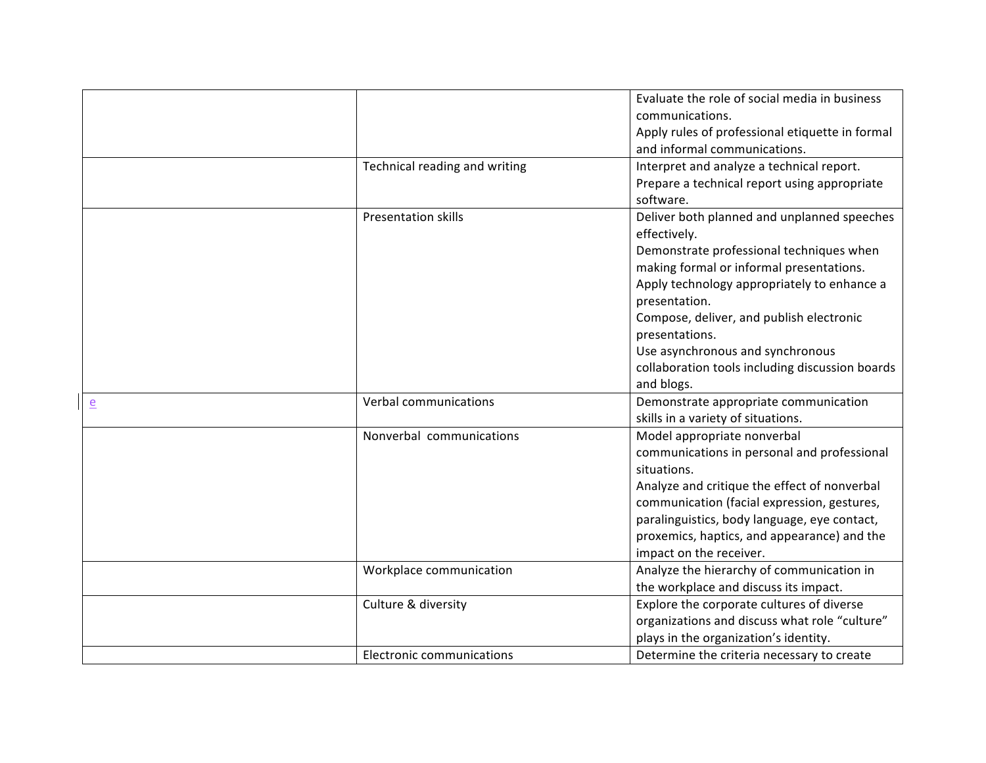|                |                               | Evaluate the role of social media in business                                       |
|----------------|-------------------------------|-------------------------------------------------------------------------------------|
|                |                               | communications.                                                                     |
|                |                               | Apply rules of professional etiquette in formal                                     |
|                |                               | and informal communications.                                                        |
|                | Technical reading and writing | Interpret and analyze a technical report.                                           |
|                |                               | Prepare a technical report using appropriate                                        |
|                |                               | software.                                                                           |
|                | Presentation skills           | Deliver both planned and unplanned speeches                                         |
|                |                               | effectively.                                                                        |
|                |                               | Demonstrate professional techniques when                                            |
|                |                               | making formal or informal presentations.                                            |
|                |                               | Apply technology appropriately to enhance a                                         |
|                |                               | presentation.                                                                       |
|                |                               | Compose, deliver, and publish electronic                                            |
|                |                               | presentations.                                                                      |
|                |                               | Use asynchronous and synchronous                                                    |
|                |                               | collaboration tools including discussion boards                                     |
|                |                               | and blogs.                                                                          |
| $\overline{e}$ | Verbal communications         | Demonstrate appropriate communication                                               |
|                |                               |                                                                                     |
|                |                               | skills in a variety of situations.                                                  |
|                | Nonverbal communications      | Model appropriate nonverbal                                                         |
|                |                               | communications in personal and professional                                         |
|                |                               | situations.                                                                         |
|                |                               | Analyze and critique the effect of nonverbal                                        |
|                |                               | communication (facial expression, gestures,                                         |
|                |                               | paralinguistics, body language, eye contact,                                        |
|                |                               | proxemics, haptics, and appearance) and the                                         |
|                |                               | impact on the receiver.                                                             |
|                | Workplace communication       | Analyze the hierarchy of communication in                                           |
|                |                               | the workplace and discuss its impact.                                               |
|                | Culture & diversity           | Explore the corporate cultures of diverse                                           |
|                |                               | organizations and discuss what role "culture"                                       |
|                |                               | plays in the organization's identity.<br>Determine the criteria necessary to create |